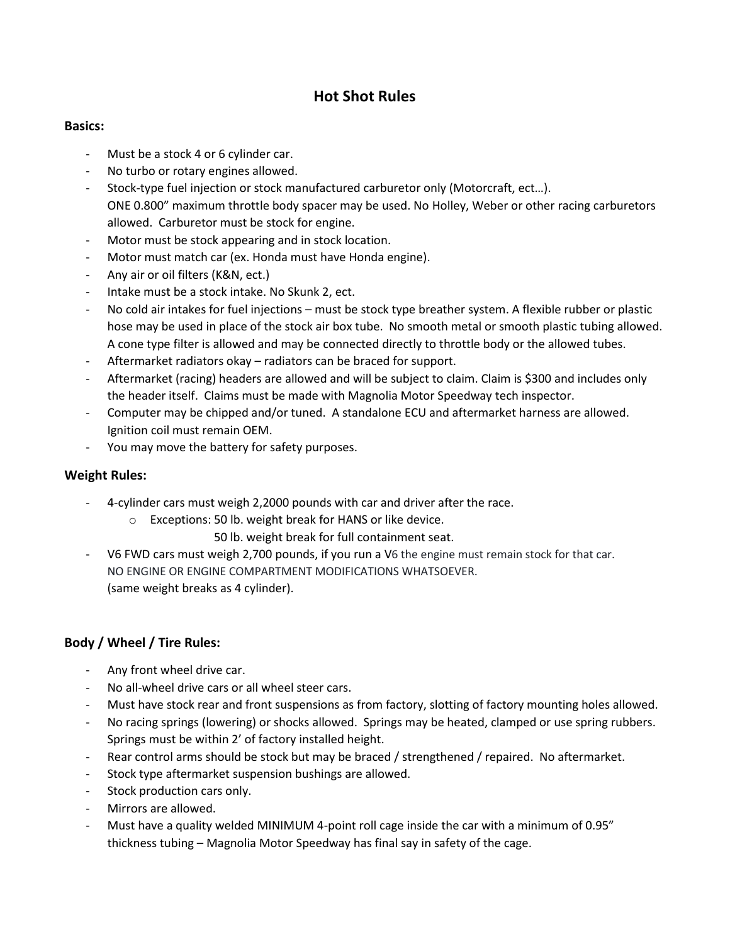# **Hot Shot Rules**

### **Basics:**

- Must be a stock 4 or 6 cylinder car.
- No turbo or rotary engines allowed.
- Stock-type fuel injection or stock manufactured carburetor only (Motorcraft, ect…). ONE 0.800" maximum throttle body spacer may be used. No Holley, Weber or other racing carburetors allowed. Carburetor must be stock for engine.
- Motor must be stock appearing and in stock location.
- Motor must match car (ex. Honda must have Honda engine).
- Any air or oil filters (K&N, ect.)
- Intake must be a stock intake. No Skunk 2, ect.
- No cold air intakes for fuel injections must be stock type breather system. A flexible rubber or plastic hose may be used in place of the stock air box tube. No smooth metal or smooth plastic tubing allowed. A cone type filter is allowed and may be connected directly to throttle body or the allowed tubes.
- Aftermarket radiators okay radiators can be braced for support.
- Aftermarket (racing) headers are allowed and will be subject to claim. Claim is \$300 and includes only the header itself. Claims must be made with Magnolia Motor Speedway tech inspector.
- Computer may be chipped and/or tuned. A standalone ECU and aftermarket harness are allowed. Ignition coil must remain OEM.
- You may move the battery for safety purposes.

## **Weight Rules:**

- 4-cylinder cars must weigh 2,2000 pounds with car and driver after the race.
	- o Exceptions: 50 lb. weight break for HANS or like device.
		- 50 lb. weight break for full containment seat.
- V6 FWD cars must weigh 2,700 pounds, if you run a V6 the engine must remain stock for that car. NO ENGINE OR ENGINE COMPARTMENT MODIFICATIONS WHATSOEVER. (same weight breaks as 4 cylinder).

# **Body / Wheel / Tire Rules:**

- Any front wheel drive car.
- No all-wheel drive cars or all wheel steer cars.
- Must have stock rear and front suspensions as from factory, slotting of factory mounting holes allowed.
- No racing springs (lowering) or shocks allowed. Springs may be heated, clamped or use spring rubbers. Springs must be within 2' of factory installed height.
- Rear control arms should be stock but may be braced / strengthened / repaired. No aftermarket.
- Stock type aftermarket suspension bushings are allowed.
- Stock production cars only.
- Mirrors are allowed.
- Must have a quality welded MINIMUM 4-point roll cage inside the car with a minimum of 0.95" thickness tubing – Magnolia Motor Speedway has final say in safety of the cage.